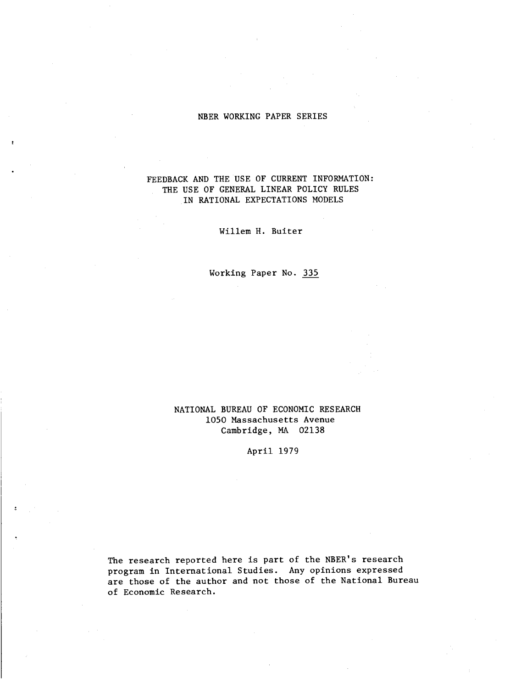# NBER WORKING PAPER SERIES

# FEEDBACK AND THE USE OF CURRENT INFORMATION: THE USE OF GENERAL LINEAR POLICY RULES IN RATIONAL EXPECTATIONS MODELS

Willem H. Buiter

Working Paper No. 335

# NATIONAL BUREAU OF ECONOMIC RESEARCH 1050 Massachusetts Avenue Cambridge, MA 02138

# April 1979

The research reported here is part of the NBER's research program in International Studies. Any opinions expressed are those of the author and not those of the National Bureau of Economic Research.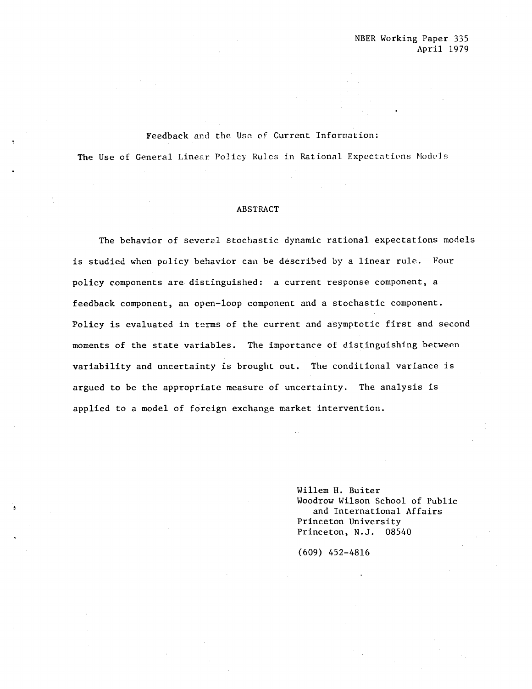## Feedback and the Use of Current Information:

The Use of General Linear Policy Rules in Rational Expectations Models

### ABSTRACT

The behavior of several stochastic dynamic rational expectations models is studied when policy behavior can be described by a linear rule. Four policy components are distinguished: a current response component, a feedback component, an open—loop component and a stochastic component. Policy is evaluated in terms of the current and asymptotic first and second moments of the state variables. The importance of distinguishing between variability and uncertainty is brought out. The conditional variance is argued to be the appropriate measure of uncertainty. The analysis is applied to a model of foreign exchange market intervention.

> Willem H. Buiter Woodrow Wilson School of Public and International Affairs Princeton University Princeton, N.J. 08540

(609) 452—4816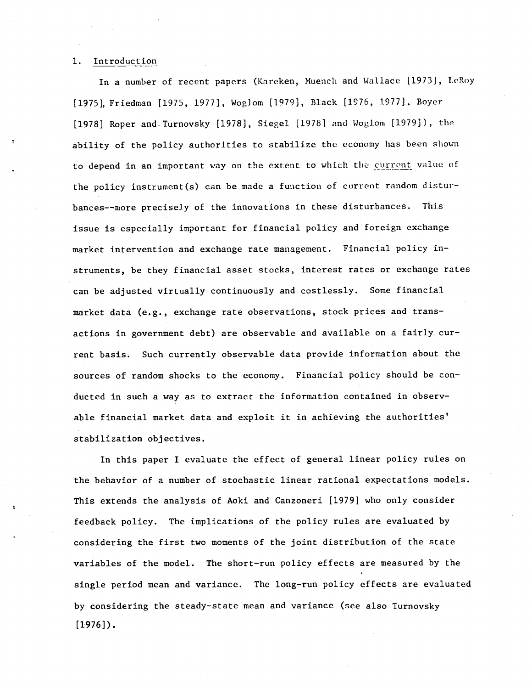## 1. Introduction

In a number of recent papers (Kareken, Muench and Wallace [1973], LeRoy [1975], Friedman [1975, 1977], Woglom [1979], Black [1976, 1977], Boyer [1978] Roper and.Turnovsky [1978], Siegel [1978] and Wogiom [1979]), th ability of the policy authorities to stabilize the economy has been shown to depend in an important way on the extent to which the current value of the policy instrument(s) can be made a function of current random disturbances——more precisely of the innovations in these disturbances. This issue is especially important for financial policy and foreign exchange market intervention and exchange rate management. Financial policy instruments, be they financial asset stocks, interest rates or exchange rates can be adjusted virtually continuously and costlessly. Some financial market data (e.g., exchange rate observations, stock prices and transactions in government debt) are observable and available on a fairly current basis. Such currently observable data provide information about the sources of random shocks to the economy. Financial policy should be conducted in such a way as to extract the information contained in observable financial market data and exploit it in achieving the authorities' stabilization objectives.

In this paper I evaluate the effect of general linear policy rules on the behavior of a number of stochastic linear rational expectations models. This extends the analysis of Aoki and Canzoneri [1979] who only consider feedback policy. The implications of the policy rules are evaluated by considering the first two moments of the joint distribution of the state variables of the model. The short—run policy effects are measured by the single period mean and variance. The long—run policy effects are evaluated by considering the steady—state mean and variance (see also Turnovsky [1976]).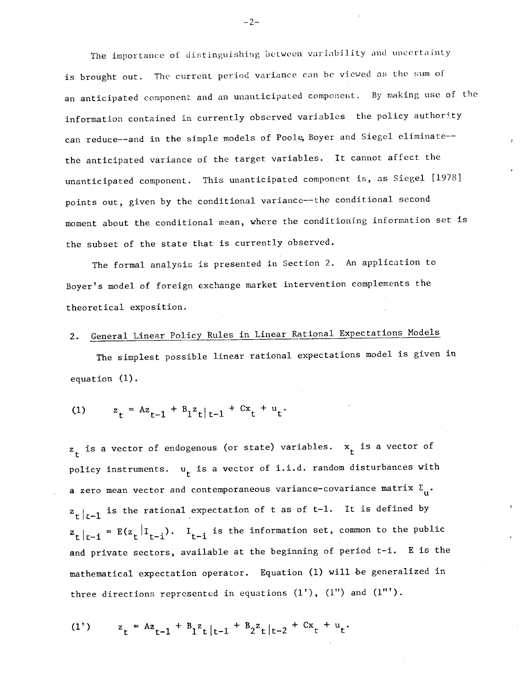The importance of distinguishing between variability and uncertainty is brought out. The current period variance can be viewed as the sum of an anticipated component and an unanticipated component. By making use of the information contained in currently observed variables the policy authority can reduce--and in the simple models of Poole, Boyer and Siegel eliminate-the anticipated variance of the target variables. It cannot affect the unanticipated component. This unanticipated component is, as Siegel [1978] points out, given by the conditional variance——the conditional second moment about the conditional mean, where the conditioning information set is the subset of the state that is currently observed.

The formal analysis is presented in Section 2. An application to Boyer's model of foreign exchange market intervention complements the theoretical exposition.

# 2. General Linear Policy Rules in Linear Rational Expectations Models

The simplest possible linear rational expectations model is given in equation (1).

(1) 
$$
z_t = Az_{t-1} + B_1 z_t |_{t-1} + Cx_t + u_t
$$

 $\mathsf{z}_\mathsf{t}$  is a vector of endogenous (or state) variables.  $\mathsf{x}_\mathsf{t}$  is a vector of policy instruments.  $u_t$  is a vector of i.i.d. random disturbances with a zero mean vector and contemporaneous variance-covariance matrix  $\Sigma_{\mu}$ .  $z_t|_{t-1}$  is the rational expectation of t as of t-1. It is defined by  $z_t|_{t-1} = E(z_t|I_{t-1}).$  I<sub>t-i</sub> is the information set, common to the public and private sectors, available at the beginning of period t-i. E is the mathematical expectation operator. Equation (1) will be generalized in three directions represented in equations  $(1')$ ,  $(1'')$  and  $(1'')$ .

(1') 
$$
z_t = Az_{t-1} + B_1 z_t |_{t-1} + B_2 z_t |_{t-2} + Cx_t + u_t
$$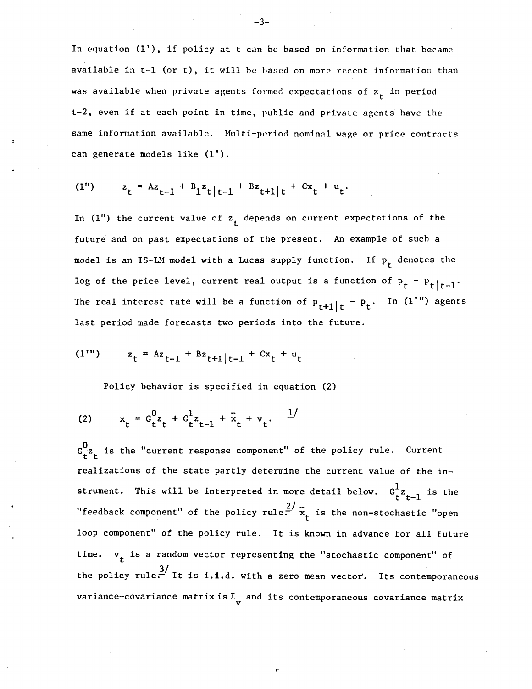In equation (1'), if policy at t can be based on information that became available in t—l (or t), it will he based on more recent information than was available when private agents formed expectations of  $z_{+}$  in period t—2, even if at each point in time, public and private agents have the same information available. Multi—period nominal wage or price contracts can generate models like (1').

(1") 
$$
z_t = Az_{t-1} + B_1z_{t|t-1} + B_2t_{t+1|t} + Cx_t + u_t
$$

In (1") the current value of  $z<sub>r</sub>$  depends on current expectations of the future and on past expectations of the present. An example of such a model is an IS-LM model with a Lucas supply function. If  $p_t$  denotes the log of the price level, current real output is a function of  $P_t - P_t|_{t-1}$ . The real interest rate will be a function of  $P_{t+1}|t - P_t$ . In  $-p_{+}$ . In (1'") agents last period made forecasts two periods into the future.

$$
(11) \t zt = Azt-1 + Bzt+1|t-1 + Cxt + ut
$$

Policy behavior is specified in equation (2)

(2) 
$$
x_t = G_t^0 z_t + G_t^1 z_{t-1} + \bar{x}_t + v_t.
$$
  $\frac{1}{t}$ 

 $G_{r}^{0}$  is the "current response component" of the policy rule. Current realizations of the state partly determine the current value of the instrument. This will be interpreted in more detail below.  $G_t^1 z_{t-1}$  is the "feedback component" of the policy rule.  $\frac{2}{x}$  is the non-stochastic "open loop component" of the policy rule. It is known in advance for all future time.  $v_t$  is a random vector representing the "stochastic component" of the policy rule. It is i.i.d. with a zero mean vector. Its contemporaneous variance-covariance matrix is  $\Sigma$ , and its contemporaneous covariance matrix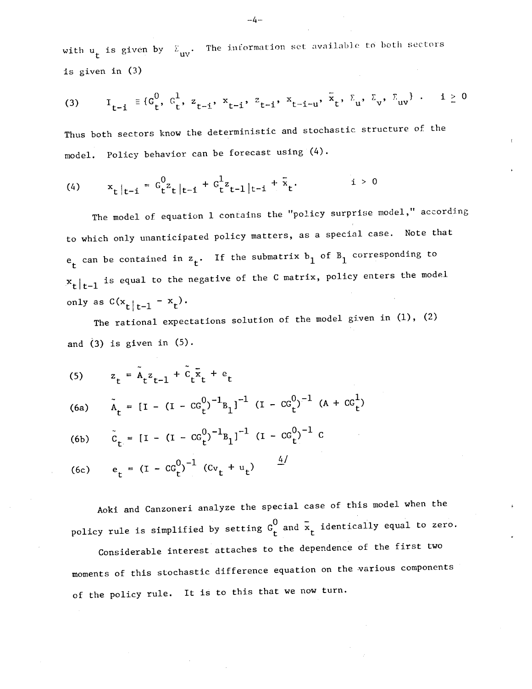with  $\mathbf{u_t}$  is given by  $\mathbf{\Sigma_{uv}}.$  The information set available to both sectors is given in (3)

(3) 
$$
I_{t-i} = \{G_t^0, G_t^1, z_{t-i}, x_{t-i}, z_{t-i}, x_{t-i-u}, x_t, \sum_t z_v, \sum_{uv} z_v\}
$$
 :  $i \ge 0$ 

Thus both sectors know the deterministic and stochastic structure of the model. Policy behavior can be forecast using (4).

(4) 
$$
x_t|_{t-i} = G_t^0 z_t|_{t-i} + G_t^1 z_{t-1}|_{t-i} + \bar{x}_t
$$
   
  $i > 0$ 

The model of equation 1 contains the "policy surprise model," according to which only unanticipated policy matters, as a special case. Note that  $e_t$  can be contained in  $z_t$ . If the submatrix  $b_1$  of  $B_1$  corresponding to  $x_t|_{t-1}$  is equal to the negative of the C matrix, policy enters the model only as  $C(x_t |_{t-1} - x_t)$ .

The rational expectations solution of the model given in  $(1)$ ,  $(2)$ and  $(3)$  is given in  $(5)$ .

(5) 
$$
z_t = \tilde{A}_t z_{t-1} + \tilde{C}_t \tilde{x}_t + e_t
$$

(6a) 
$$
\tilde{A}_t = [I - (I - CG_t^0)^{-1}B_1]^{-1} (I - CG_t^0)^{-1} (A + CG_t^1)
$$

(6b) 
$$
\tilde{c}_t = [I - (I - CG_t^0)^{-1}B_1]^{-1} (I - CG_t^0)^{-1} C
$$

(6c) 
$$
e_t = (I - CG_t^0)^{-1} (Cv_t + u_t) \frac{4}{}
$$

Aoki and Canzoneri analyze the special case of this model when the policy rule is simplified by setting  $G_t^0$  and  $\bar{x}_t$  identically equal to zero.

Considerable interest attaches to the dependence of the first two moments of this stochastic difference equation on the various components of the policy rule. It is to this that we now turn.

 $-4-$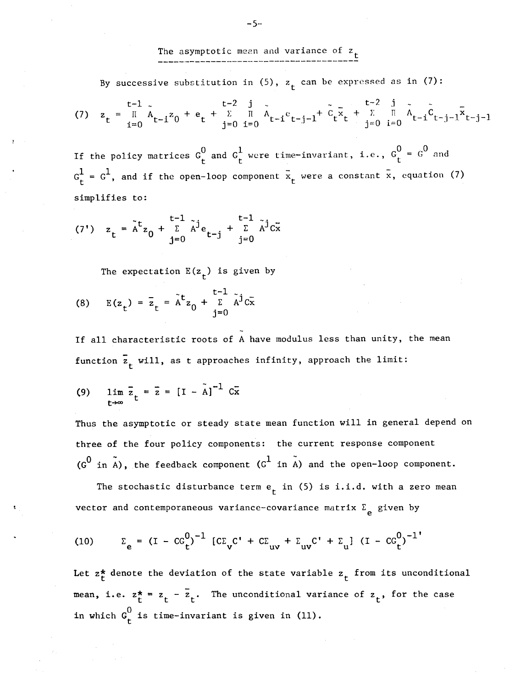The asymptotic mean and variance of  $z_t$ 

By successive substitution in (5),  $z<sub>r</sub>$  can be expressed as in (7):

(7) 
$$
z_t = \prod_{i=0}^{t-1} \tilde{A}_{t-i} z_0 + e_t + \sum_{j=0}^{t-2} \prod_{i=0}^{j} \tilde{A}_{t-i} c_{t-j-i} + \tilde{C}_t \tilde{x}_t + \sum_{j=0}^{t-2} \prod_{i=0}^{j} \tilde{A}_{t-i} \tilde{C}_{t-j-i} \tilde{x}_{t-j-1}
$$

If the policy matrices  $G_t^0$  and  $G_t^1$  were time-invariant, i.e.,  $G_t^0 = G^0$  and  $G_t^1 = G^1$ , and if the open-loop component  $\bar{x}_t$  were a constant  $\bar{x}$ , equation (7) simplifies to:

(7') 
$$
z_t = \tilde{A}^t z_0 + \sum_{j=0}^{t-1} \tilde{A}^j e_{t-j} + \sum_{j=0}^{t-1} \tilde{A}^j c \tilde{x}
$$

The expectation  $E(z_t)$  is given by

(8) 
$$
E(z_t) = \overline{z}_t = \tilde{A}^t z_0 + \sum_{j=0}^{t-1} \tilde{A}^j c \overline{x}
$$

If all characteristic roots of A have modulus less than unity, the mean function  $\overline{z}_{t}$  will, as t approaches infinity, approach the limit:

(9) 
$$
\lim_{t \to \infty} \bar{z}_t = \bar{z} = [I - \tilde{A}]^{-1} C \bar{x}
$$

Thus the asymptotic or steady state mean function will in general depend on three of the four policy components: the current response component  $(G^0$  in A), the feedback component  $(G^1$  in A) and the open-loop component.

The stochastic disturbance term  $e_t$  in (5) is i.i.d. with a zero mean vector and contemporaneous variance-covariance matrix  $\Sigma_{\rho}$  given by

(10) 
$$
\Sigma_e = (I - CC_t^0)^{-1} [CC_vC' + CC_{uv} + \Sigma_{uv}C' + \Sigma_{u}] (I - CC_t^0)^{-1}
$$

Let  $z_t^*$  denote the deviation of the state variable  $z_t$  from its unconditional mean, i.e.  $z_t^* = z_t - \overline{z}_t$ . The unconditional variance of  $z_t$ , for the case in which  $G_f^0$  is time-invariant is given in (11).

— 5--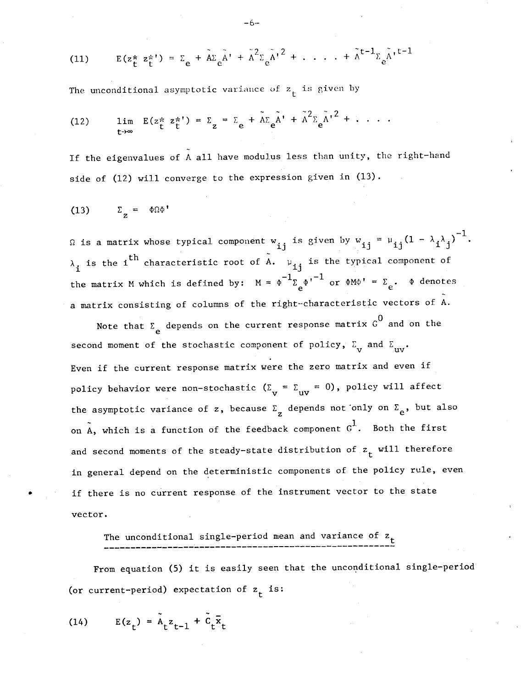(11) 
$$
E(z_{t}^{*} z_{t}^{*}) = \sum_{e} + \tilde{A} \sum_{e} \tilde{A}^{*} + \tilde{A}^{2} \sum_{e} \tilde{A}^{*}^{2} + \dots + \tilde{A}^{t-1} \sum_{e} \tilde{A}^{*}^{t-1}
$$

The unconditional asymptotic variance of  $z<sub>f</sub>$  is given by

(12) 
$$
\lim_{t \to \infty} E(z_t^* z_t^*) = \Sigma_z = \Sigma_e + \tilde{A} \Sigma_e \tilde{A}^* + \tilde{A}^2 \Sigma_e \tilde{A}^{*2} + \dots
$$

If the eigenvalues of A all have modulus less than unity, the right—hand side of (12) will converge to the expression given in (13).

$$
(13) \qquad \Sigma_{z} = \Phi \Omega \Phi^{\dagger}
$$

is a matrix whose typical component w<sub>ij</sub> is given by w<sub>ij</sub> =  $\mu_{1i}(1-\lambda_{1}\lambda_{i})^{-1}$ .  $\lambda_i$  is the i<sup>th</sup> characteristic root of A.  $\mu_{1i}$  is the typical component of the matrix M which is defined by:  $M = \phi^{-1} \Sigma_{e^{\phi}} r^{-1}$  or  $\phi M \phi' = \Sigma_{e^{\phi}} \phi$  denotes a matrix consisting of columns of the right--characteristic vectors of A.

Note that  $\Sigma$ <sub>e</sub> depends on the current response matrix  $G^0$  and on the second moment of the stochastic component of policy,  $\Sigma_{\mathbf{v}}$  and  $\Sigma_{\mathbf{v}}$ . Even if the current response matrix were the zero matrix and even if policy behavior were non-stochastic  $(\Sigma_{\rm v} = \Sigma_{\rm uv} = 0)$ , policy will affect the asymptotic variance of z, because  $\Sigma$ <sub>z</sub> depends not only on  $\Sigma$ <sub>e</sub>, but also on  $A$ , which is a function of the feedback component  $G^1$ . Both the first and second moments of the steady-state distribution of  $z_{\text{r}}$  will therefore in general depend on the deterministic components of the policy rule, even if there is no current response of the instrument vector to the state vector.

# The unconditional single-period mean and variance of  $z_t$

From equation (5) it is easily seen that the unconditional single—period (or current-period) expectation of  $z<sub>f</sub>$  is:

(14) 
$$
E(z_t) = \tilde{A}_t z_{t-1} + \tilde{C}_t \tilde{x}_t
$$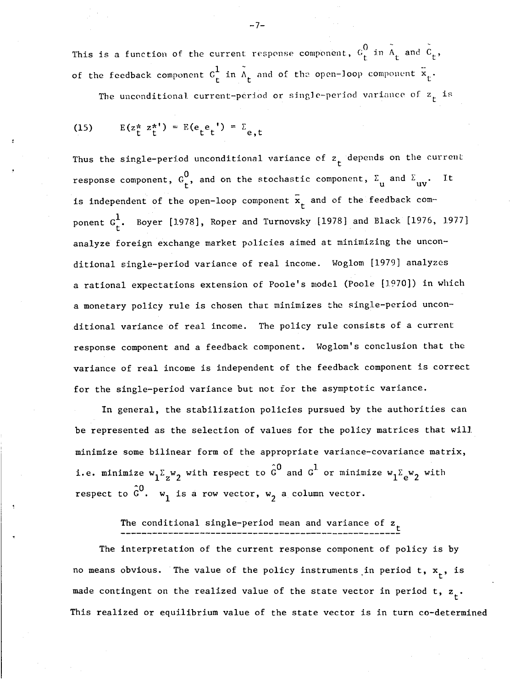This is a function of the current response component,  $G_f^0$  in  $A_f$  and  $C_f$ , of the feedback component  $c_t^1$  in  $\tilde{A}_t$  and of the open-loop component  $\tilde{x}_t$ .

The unconditional current-period or single-period variance of  $z_t$  is

(15) 
$$
E(z_t^* z_t^{*}) = E(e_t^* e_t^*) = \sum_{e,t}
$$

Thus the single-period unconditional variance of  $z_t$  depends on the current response component,  $G_f^0$ , and on the stochastic component,  $\Sigma_{u}$  and  $\Sigma_{uv}$ . It is independent of the open-loop component  $\bar{x}_t$  and of the feedback component  $G_f^1$ . Boyer [1978], Roper and Turnovsky [1978] and Black [1976, 1977] analyze foreign exchange market policies aimed at minimizing the unconditional single—period variance of real income. Woglom [1979] analyzes a rational expectations extension of Poole's model (Poole [1970]) in which a monetary policy rule is chosen that minimizes the single—period unconditional variance of real income. The policy rule consists of a current response component and a feedback component. Woglom's conclusion that the variance of real income is independent of the feedback component is correct for the single—period variance but not for the asymptotic variance.

In general, the stabilization policies pursued by the authorities can be represented as the selection of values for the policy matrices that will minimize some bilinear form of the appropriate variance—covariance matrix, i.e. minimize  $w_1\Sigma_z w_2$  with respect to  $G^*$  and  $G^*$  or minimize  $w_1\Sigma_{\bf e} w_2$  with respect to  $\hat{\sigma}^0$ .  $w_1$  is a row vector,  $w_2$  a column vector.

# The conditional single—period mean and variance of z

The interpretation of the current response component of policy is by no means obvious. The value of the policy instruments in period t,  $x_{+}$ , is made contingent on the realized value of the state vector in period t,  $z_{+}$ . This realized or equilibrium value of the state vector is in turn co-determined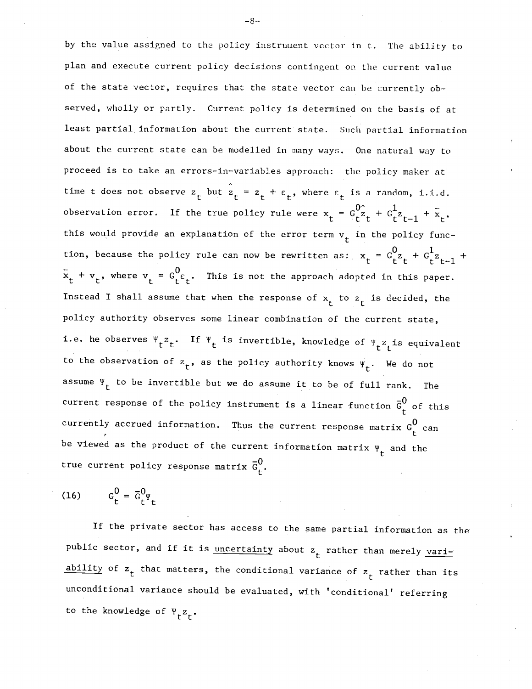by the value assigned to the policy instrument vector in t. The ability to plan and execute current policy decisions contingent on the current value of the state vector, requires that the state vector can be currently observed, wholly or partly. Current policy is determined on the basis of at least partial information about the current state. Such partial information about the current state can be modelled in many ways. One natural way to proceed is to take an errors—in—variables approach: the policy maker at time t does not observe  $z_t$  but  $\hat{z}_t = z_t + \varepsilon_t$ , where  $\varepsilon_t$  is a random, i.i.d. observation error. If the true policy rule were  $x_t = G_t^0 \hat{z}_t + G_t^1 z_{t-1} + \tilde{x}_t$ , this would provide an explanation of the error term  $v_t$  in the policy function, because the policy rule can now be rewritten as:  $x_t = G_{t}^0 z_t + G_{t}^1 z_{t-1}$  +  $\bar{x}_t + v_t$ , where  $v_t = G_t^0 \epsilon_t$ . This is not the approach adopted in this paper. Instead I shall assume that when the response of  $x_t$  to  $z_t$  is decided, the policy authority observes some linear combination of the current state, i.e. he observes  $\Psi_t^z{}_t$ . If  $\Psi_t$  is invertible, knowledge of  $\Psi_t^z{}_t$  is equivalent to the observation of  $z_t$ , as the policy authority knows  $\Psi_t$ . We do not assume  $\Psi_r$  to be invertible but we do assume it to be of full rank. The current response of the policy instrument is a linear function  $\bar{G}^0_+$  of this currently accrued information. Thus the current response matrix  $G_r^0$  can be viewed as the product of the current information matrix  $\Psi_t$  and the true current policy response matrix  $\bar{G}_{r}^{0}$ .

$$
(16) \qquad G_t^0 = \overline{G}_t^0 \Psi_t
$$

If the private sector has access to the same partial information as the public sector, and if it is <u>uncertainty</u> about  $z<sub>r</sub>$  rather than merely variability of  $z_t$  that matters, the conditional variance of  $z_t$  rather than its unconditional variance should be evaluated, with 'conditional' referring to the knowledge of  $\Psi_{r}z_{r}$ .

—8--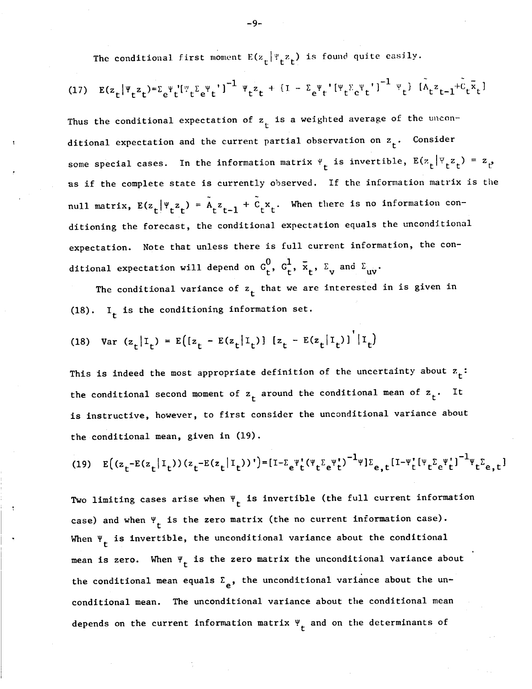The conditional first moment  $E(z_t | Y_t z_t)$  is found quite easily.

(17) 
$$
E(z_t |\Psi_t z_t) = \sum_e \Psi_t' [\Psi_t \Sigma_e \Psi_t']^{-1} \Psi_t z_t + (I - \Sigma_e \Psi_t' [\Psi_t \Sigma_e \Psi_t']^{-1} \Psi_t) [\tilde{\Lambda}_t z_{t-1} + \tilde{\mathcal{C}}_t \overline{x}_t]
$$

Thus the conditional expectation of  $z_t$  is a weighted average of the unconditional expectation and the current partial observation on  $z_+$ . Consider some special cases. In the information matrix  $\Psi_t$  is invertible,  $E(z_t | \Psi_t z_t) = z_t$ as if the complete state is currently observed. If the information matrix is the null matrix,  $E(z_t | Y_t z_t) = A_t z_{t-1} + C_t x_t$ . When there is no information conditioning the forecast, the conditional expectation equals the unconditional expectation. Note that unless there is full current information, the conditional expectation will depend on  $G_t^{\circ}$ ,  $G_t^{\bullet}$ ,  $\overline{x}_t$ ,  $\Sigma_{\mathbf{v}}$  and  $\Sigma_{\mathbf{uv}}$ .

The conditional variance of  $z_t$  that we are interested in is given in (18). I<sub>t</sub> is the conditioning information set.

(18) Var 
$$
(z_t | I_t) = E([z_t - E(z_t | I_t)) [z_t - E(z_t | I_t)] | I_t)
$$

This is indeed the most appropriate definition of the uncertainty about  $z_t$ : the conditional second moment of  $z<sub>r</sub>$  around the conditional mean of  $z<sub>t</sub>$ . It is instructive, however, to first consider the unconditional variance about the conditional mean, given in (19).

(19) 
$$
E((z_t - E(z_t | I_t))(z_t - E(z_t | I_t))') = [1 - \sum_e \Psi_t'(\Psi_t \Sigma_e \Psi_t')^{-1} \Psi] \Sigma_{e,t} [1 - \Psi_t'(\Psi_t \Sigma_e \Psi_t']^{-1} \Psi_t \Sigma_{e,t}]
$$

Two limiting cases arise when  $\Psi_t$  is invertible (the full current information case) and when  $\Psi_t$  is the zero matrix (the no current information case). When  $\Psi_{+}$  is invertible, the unconditional variance about the conditional mean is zero. When  $\Psi_t$  is the zero matrix the unconditional variance about the conditional mean equals  $\Sigma_e$ , the unconditional variance about the unconditional mean. The unconditional variance about the conditional mean depends on the current information matrix  $\Psi_t$  and on the determinants of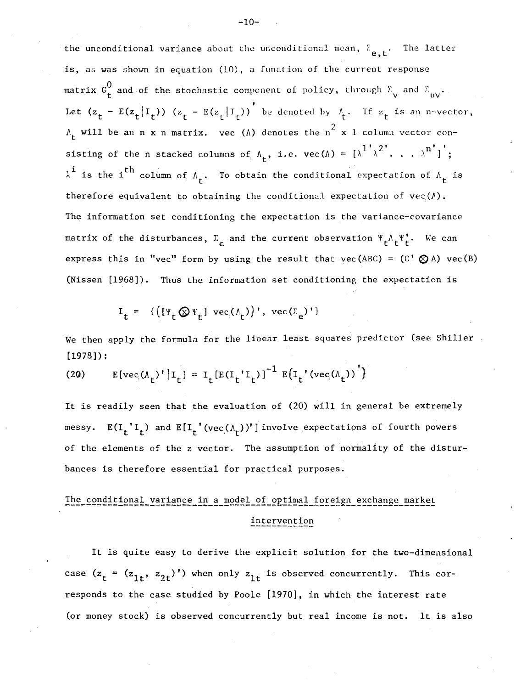the unconditional variance about the unconditional mean,  $\Sigma_{\mathbf{e},\mathbf{t}}$ . The latter is, as was shown in equation (10), a function of the current response matrix  $G_f^0$  and of the stochastic component of policy, through  $\Sigma_{\bf v}$  and  $\Sigma_{\bf uv}$ . Let  $(z_t - E(z_t | I_t)) (z_t - E(z_t | I_t))$  be denoted by  $\Lambda_t$ . If  $z_t$  is an n-vector,  $\Lambda_t$  will be an n x n matrix. vec  $(\Lambda)$  denotes the  $n^2$  x 1 column vector consisting of the n stacked columns of  $\Lambda_{+}$ , i.e. vec( $\Lambda$ ) =  $\{\lambda^{1}, \lambda^{2}, \ldots, \lambda^{n}\}$ ;  $\lambda^i$  is the i<sup>th</sup> column of  $\Lambda_t$ . To obtain the conditional expectation of  $\Lambda_t$  is therefore equivalent to obtaining the conditional expectation of  $\text{vec}(\Lambda)$ . The information set conditioning the expectation is the variance-covariance matrix of the disturbances,  $\Sigma$  and the current observation  $\Psi_t^{\Lambda} \mathbf{t}^{\Psi}_t$ . We can express this in "vec" form by using the result that vec(ABC) =  $(C \otimes A)$  vec(B) (Nissen [1968]). Thus the information set conditioning the expectation is

$$
I_{t} = \{ \left( [\Psi_{t} \otimes \Psi_{t}] \operatorname{vec}(\Lambda_{t}) \right)', \operatorname{vec}(\Sigma_{e})' \}
$$

We then apply the formula for the linear least squares predictor (see Shiller [1978]):

(20) 
$$
E[vec(\Lambda_t)^{\dagger} | I_t] = I_t[E(I_t^{\dagger} I_t)]^{-1} E[I_t^{\dagger} (vec(\Lambda_t))^{\dagger}]
$$

It is readily seen that the evaluation of (20) will in general be extremely messy.  $E(I_t' I_t)$  and  $E[I_t'(\text{vec}(\Lambda_t))]$  involve expectations of fourth powers of the elements of the z vector. The assumption of normality of the disturbances is therefore essential for practical purposes.

# The conditional variance in a model of optimal foreign exchange market intervention

It is quite easy to derive the explicit solution for the two—dimensional case  $(z_t = (z_{1t}, z_{2t})')$  when only  $z_{1t}$  is observed concurrently. This corresponds to the case studied by Poole [1970], in which the interest rate (or money stock) is observed concurrently but real income is not. It is also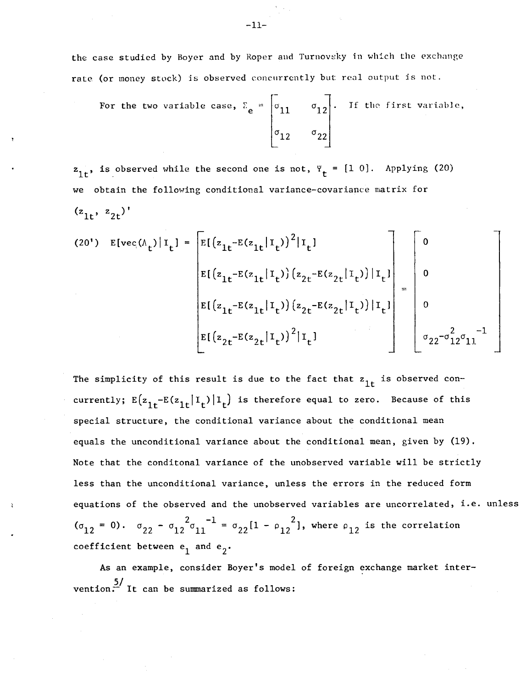the case studied by Boyer and by Roper and Turnovsky in which the exchange rate (or money stock) is observed concurrently but real output is not.

For the two variable case, 
$$
\Sigma_e = \begin{bmatrix} 0 & 0 & 0 & 0 \\ 0 & 1 & 0 & 0 \\ 0 & 0 & 0 & 0 \\ 0 & 0 & 0 & 0 \end{bmatrix}
$$
. If the first variable,

 $z_{1t}$ , is observed while the second one is not,  $\Psi_t = [1\ 0]$ . Applying (20) we obtain the following conditional variance—covariance matrix for  $(z_{1t}, z_{2t})'$ 

(20') E[veC(A)lIt] = E[(zi\_E(z1II))2fI] <sup>0</sup> E[(z1\_E(z1II)) (z2\_E(z2II)) lIe] <sup>0</sup> E[(z1\_E(z1II)) (z2\_E(z2II)) I] <sup>0</sup> 2 2 —l E[(z2\_E(z9! ') I iJ a22—a12a11

The simplicity of this result is due to the fact that  $z_{1t}$  is observed concurrently;  $E(z_{1t}-E(z_{1t}|I_t)|I_t)$  is therefore equal to zero. Because of this special structure, the conditional variance about the conditional mean equals the unconditional variance about the conditional mean, given by (19). Note that the conditonal variance of the unobserved variable will be strictly less than the unconditional variance, unless the errors in the reduced form equations of the observed and the unobserved variables are uncorrelated, i.e. unless  $(\sigma_{12} = 0)$ .  $\sigma_{22} - \sigma_{12}^2 \sigma_{11}^{-1} = \sigma_{22} [1 - \rho_{12}^2]$ , where  $\rho_{12}$  is the correlation coefficient between  $e_1$  and  $e_2$ .

As an example, consider Boyer's model of foreign exchange market intervention.  $\frac{5}{1}$  It can be summarized as follows:

 $-11-$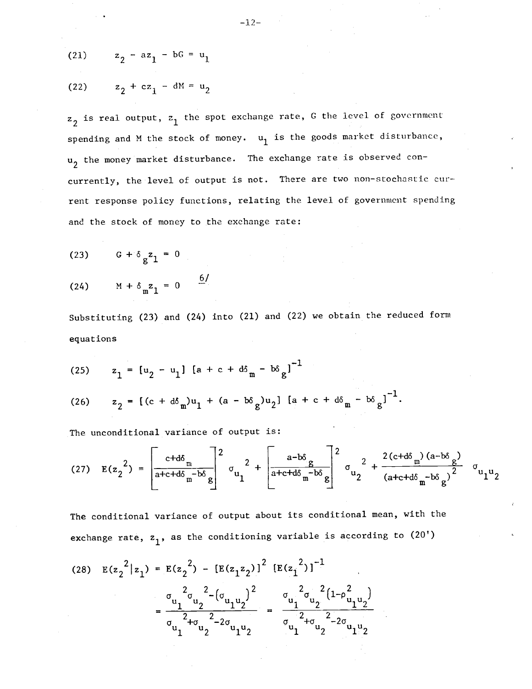(21) 
$$
z_2 - az_1 - bG = u_1
$$

$$
(22) \t z_2 + cz_1 - dM = u_2
$$

 $z_2$  is real output,  $z_1$  the spot exchange rate, G the level of government spending and M the stock of money.  $u_1$  is the goods market disturbance, u<sub>2</sub> the money market disturbance. The exchange rate is observed concurrently, the level of output is not. There are two non-stochastic current response policy functions, relating the level of government spending and the stock of money to the exchange rate:

- $(23)$   $6+$  $g^2$ 1 = 0
- (24)  $M + \delta_m z_1 = 0$  6/

Substituting (23) and (24) into (21) and (22) we obtain the reduced form equations

(25) 
$$
z_1 = [u_2 - u_1] [a + c + d\delta_m - b\delta_g]^{-1}
$$

(26) 
$$
z_2 = [(c + d\delta_m)u_1 + (a - b\delta_g)u_2] [a + c + d\delta_m - b\delta_g]^{-1}
$$
.

The unconditional variance of output is:

(27) 
$$
E(z_2^2) = \left[\frac{c+d\delta_m}{a+c+d\delta_m-b\delta_g}\right]^2 \sigma_{u_1}^2 + \left[\frac{a-b\delta_g}{a+c+d\delta_m-b\delta_g}\right]^2 \sigma_{u_2}^2 + \frac{2(c+d\delta_m)(a-b\delta_g)}{(a+c+d\delta_m-b\delta_g)^2} \sigma_{u_1u_2}^2
$$

The conditional variance of output about its conditional mean, with the exchange rate,  $z_1$ , as the conditioning variable is according to (20')

(28) 
$$
E(z_2^2 | z_1) = E(z_2^2) - [E(z_1 z_2)]^2 [E(z_1^2)]^{-1}
$$
  

$$
= \frac{\sigma_{u_1}^2 \sigma_{u_2}^2 - (\sigma_{u_1 u_2})^2}{\sigma_{u_1}^2 + \sigma_{u_2}^2 - 2\sigma_{u_1 u_2}}
$$

$$
= \frac{\sigma_{u_1}^2 \sigma_{u_2}^2}{\sigma_{u_1}^2 + \sigma_{u_2}^2 - 2\sigma_{u_1 u_2}}
$$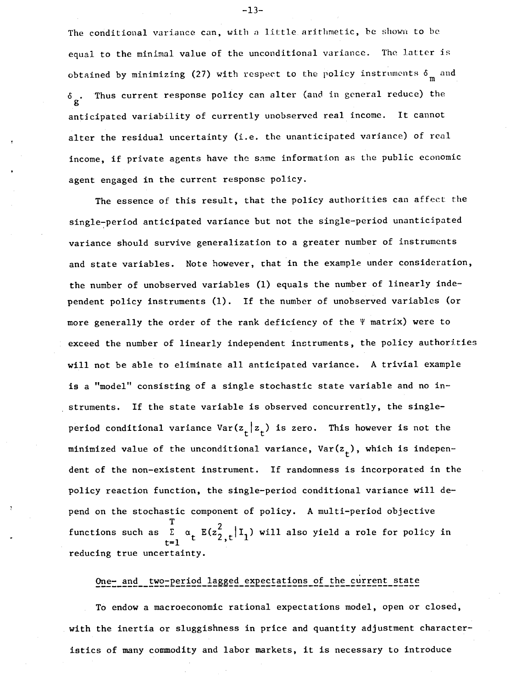The conditional variance can, with a little arithmetic, be shown to be equal to the minimal value of the unconditional variance. The latter is obtained by minimizing (27) with respect to the policy instruments  $\delta_m$  and Thus current response policy can alter (and in general reduce) the  $\delta$  . anticipated variability of currently unobserved real income. It cannot alter the residual uncertainty (i.e. the unanticipated variance) of real income, if private agents have the same information as the public economic agent engaged in the current response policy.

The essence of this result, that the policy authorities can affect the single—period anticipated variance but not the single—period unanticipated variance should survive generalization to a greater number of instruments and state variables. Note however, that in the example under consideration, the number of unobserved variables (1) equals the number of linearly independent policy instruments (1). If the number of unobserved variables (or more generally the order of the rank deficiency of the  $\Psi$  matrix) were to exceed the number of linearly independent instruments, the policy authorities will not be able to eliminate all anticipated variance. A trivial example is a "model" consisting of a single stochastic state variable and no instruments. If the state variable is observed concurrently, the single period conditional variance  $Var(z_t | z_t)$  is zero. This however is not the minimized value of the unconditional variance,  $Var(z_t)$ , which is independent of the non—existent instrument. If randomness is incorporated in the policy reaction function, the single—period conditional variance will depend on the stochastic component of policy. A multi—period objective  $T \qquad \qquad \gamma$ functions such as  $\Sigma$   $\alpha_+ E(z_2^2 + |I_1)$  will also yield a role for policy in  $t=1$   $\sim$ reducing true uncertainty.

# One- and two-period lagged expectations of the current state

To endow a macroeconomic rational expectations model, open or closed, with the inertia or sluggishness in price and quantity adjustment characteristics of many commodity and labor markets, it is necessary to introduce

—13—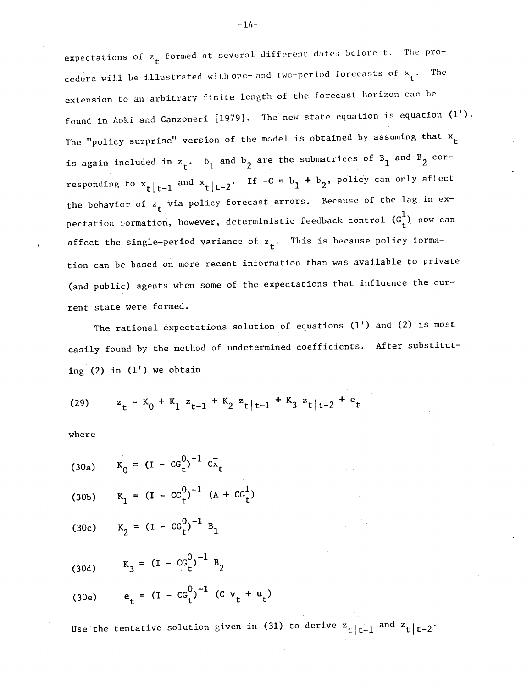expectations of  $z<sub>f</sub>$  formed at several different dates before t. The procedure will be illustrated with one-- and two-period forecasts of  $x_t$ . The extension to an arbitrary finite length of the forecast horizon can be found in Aoki and Canzoneri [1979]. The new state equation is equation (1'). The "policy surprise" version of the model is obtained by assuming that  $x_+$ is again included in  $z_t$ .  $b_1$  and  $b_2$  are the submatrices of  $B_1$  and  $B_2$  corresponding to  $x_t|_{t-1}$  and  $x_t|_{t-2}$ . If  $-c = b_1 + b_2$ , policy can only affect the behavior of  $z_t$  via policy forecast errors. Because of the lag in expectation formation, however, deterministic feedback control  $(G_r^1)$  now can affect the single-period variance of  $z_t$ . This is because policy formation can be. based on more recent information than was available to private (and public) agents when some of the expectations that influence the current state were formed.

The rational expectations solution of equations (1') and (2) is most easily found by the method of undetermined coefficients. After substituting  $(2)$  in  $(1')$  we obtain

(29) 
$$
z_t = K_0 + K_1 z_{t-1} + K_2 z_t |t-1 + K_3 z_t |t-2 + e_t
$$

where

- (30a)  $K_0 = (I CG_t^0)^{-1} C\bar{x}_t$
- (30b)  $K_1 = (I CG_t^0)^{-1} (A + CG_t^1)$
- (30c)  $K_2 = (I CG_t^0)^{-1} B_1$

$$
(30d) \tK_3 = (I - CG_t^0)^{-1} B_2
$$

(30e) 
$$
e_t = (I - CG_t^0)^{-1} (C v_t + u_t)
$$

Use the tentative solution given in (31) to derive  $z^{}_{\rm t}|_{\rm t-1}$  and  $z^{}_{\rm t}|_{\rm t-2}$ .

 $-14-$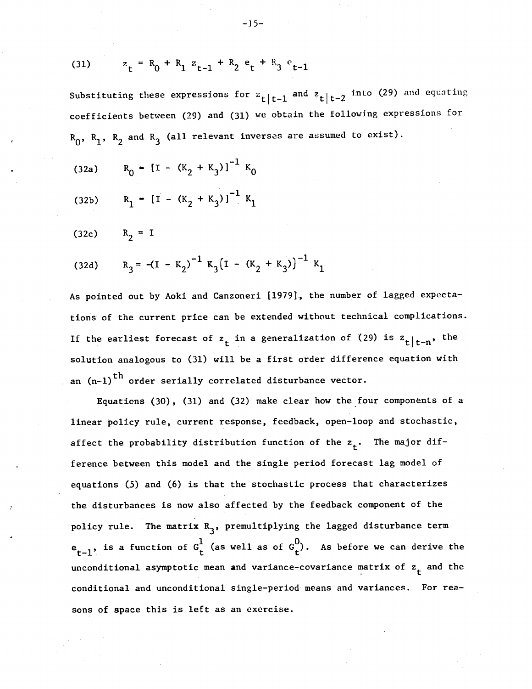(31) 
$$
z_t = R_0 + R_1 z_{t-1} + R_2 e_t + R_3 e_{t-1}
$$

Substituting these expressions for  $z_t |t-1$  and  $z_t |t-2$  into (29) and equating coefficients between (29) and (31) we obtain the following expressions for  $R_0$ ,  $R_1$ ,  $R_2$  and  $R_3$  (all relevant inverses are assumed to exist).

(32a)  $R_0 = [I - (K_2 + K_3)]^{-1} K_0$ 

(32b) 
$$
R_1 = [I - (K_2 + K_3)]^{-1} K_1
$$

(32c)  $R_2 = I$ 

(32d) 
$$
R_3 = -(I - K_2)^{-1} K_3 (I - (K_2 + K_3))^{-1} K_1
$$

As pointed out by Aoki and Canzoneri [1979], the number of lagged expectations of the current price can be extended without technical complications. If the earliest forecast of  $z_t$  in a generalization of (29) is  $z_t|_{t-n}$ , the solution analogous to (31) will be a first order difference equation with an  $(n-1)$ <sup>th</sup> order serially correlated disturbance vector.

Equations (30), (31) and (32) make clear how the four components of a linear policy rule, current response, feedback, open—loop and stochastic, affect the probability distribution function of the  $z_{+}$ . The major difference between this model and the single period forecast lag model of equations (5) and (6) is that the stochastic process that characterizes the disturbances is now also affected by the feedback component of the policy rule. The matrix  $R_3$ , premultiplying the lagged disturbance term  $e_{t-1}$ , is a function of  $G_t^1$  (as well as of  $G_t^0$ ). As before we can derive the unconditional asymptotic mean and variance-covariance matrix of  $z_t$  and the conditional and unconditional single—period means and variances. For reasons of apace this is left as an exercise.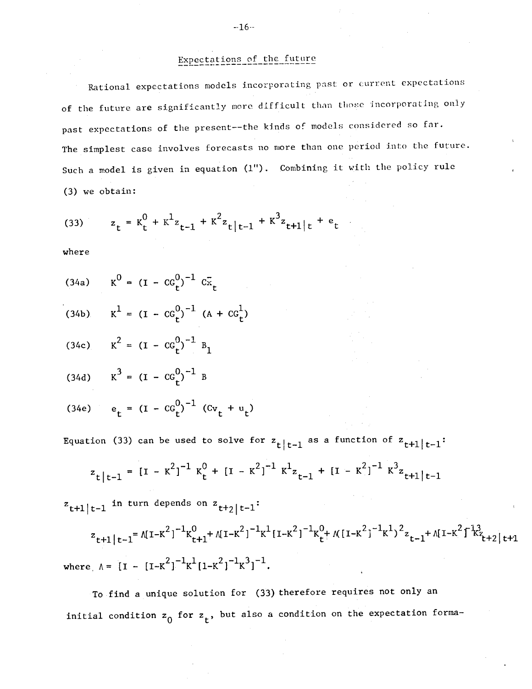# Expectations of the future

Rational expectations models incorporating past or current expectations of the future are significantly more difficult than those incorporating only past expectations of the present--the kinds of models considered so far. The simplest case involves forecasts no more than one period into the future. Such a model is given in equation  $(1")$ . Combining it with the policy rule (3) we obtain:

(33) 
$$
z_t = K_t^0 + K_t^1 z_{t-1} + K_t^2 z_{t+1} + K_t^3 z_{t+1} z_t + e_t
$$

where

|  | (34a) $K^0 = (I - CG_t^0)^{-1} C_{\mathbf{x}_t}$ |  |  |  |  |
|--|--------------------------------------------------|--|--|--|--|
|--|--------------------------------------------------|--|--|--|--|

(34b) 
$$
K^1 = (I - CG_t^0)^{-1} (A + CG_t^1)
$$

(34c) 
$$
K^2 = (I - CG_t^0)^{-1} B_1
$$

$$
(34d) \tK^3 = (I - CG_t^0)^{-1} B
$$

(34e) 
$$
e_t = (I - CG_t^0)^{-1} (Cv_t + u_t)
$$

Equation (33) can be used to solve for  $\mathsf{z}_{\mathsf{t}}|_{\mathsf{t}-1}$  as a function of  $\mathsf{z}_{\mathsf{t}+1}|_{\mathsf{t}-1}\colon$ 

$$
z_{t|t-1} = [I - K^{2}]^{-1} K_{t}^{0} + [I - K^{2}]^{-1} K^{1} z_{t-1} + [I - K^{2}]^{-1} K^{3} z_{t+1|t-1}
$$

 $z_{t+1|t-1}$  in turn depends on  $z_{t+2|t-1}$ :

$$
z_{t+1|t-1} = \Lambda [1 - K^2]^{-1} K_{t+1}^0 + \Lambda [1 - K^2]^{-1} K^1 [1 - K^2]^{-1} K_t^0 + \Lambda [1 - K^2]^{-1} K^1 \Big\}^2 z_{t-1} + \Lambda [1 - K^2]^{-1} K_{t+2|t+1}^2
$$
  
where  $\Lambda = [1 - [1 - K^2]^{-1} K^1 [1 - K^2]^{-1} K^3]^{-1}$ .

To find a unique solution for (33) therefore requires not only an initial condition  $z_0$  for  $z_t$ , but also a condition on the expectation forma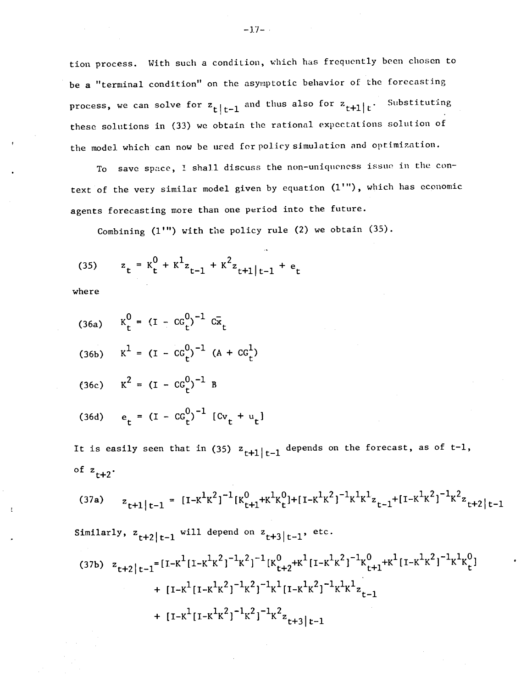tion process. With such a condition, which has frequently been chosen to be a "terminal condition" on the asynptotic behavior of the forecasting process, we can solve for  $z_{t}|_{t-1}$  and thus also for  $z_{t+1}|_t$ . Substituting these solutions in (33) we obtain the rational expectations solution of the model which can now be ured for policy simulation and optimization.

To save space, I shall discuss the non—uniqueness issue in the context of the very similar model given by equation (1'"), which has economic agents forecasting more than one period into the future.

Combining  $(1'')$  with the policy rule  $(2)$  we obtain  $(35)$ .

(35)  $z_t = K_t^0 + K_{z_{t-1}}^1 + K_{z_{t+1}|_{t-1}}^2 + e_t$ 

where

(36a) 
$$
K_t^0 = (I - CG_t^0)^{-1} C\bar{x}_t
$$
  
\n(36b)  $K^1 = (I - CG_t^0)^{-1} (A + CG_t^1)$   
\n(36c)  $K^2 = (I - CG_t^0)^{-1} B$   
\n(36d)  $e_t = (I - CG_t^0)^{-1} [Cv_t + u_t]$ 

It is easily seen that in (35)  $z_{t+1}|_{t-1}$  depends on the forecast, as of t-1, of  $z_{t+2}$ .

$$
(37a) \quad z_{t+1|t-1} = [I - K^1 K^2]^{-1} [K_{t+1}^0 + K^1 K_t^0] + [I - K^1 K^2]^{-1} K^1 K^1 z_{t-1} + [I - K^1 K^2]^{-1} K^2 z_{t+2|t-1}
$$

Similarly,  $z_{t+2|t-1}$  will depend on  $z_{t+3|t-1}$ , etc.

$$
(37b) \quad z_{t+2|t-1} = [I - K^{1}[I - K^{1}K^{2}]^{-1}K^{2}]^{-1}[K_{t+2}^{0} + K^{1}[I - K^{1}K^{2}]^{-1}K_{t+1}^{0} + K^{1}[I - K^{1}K^{2}]^{-1}K^{1}K_{t}^{0}] + [I - K^{1}[I - K^{1}K^{2}]^{-1}K^{1}[I - K^{1}K^{2}]^{-1}K^{1}K_{t-1}^{1}
$$

$$
+ [I - K^{1}[I - K^{1}K^{2}]^{-1}K^{2}]^{-1}K^{2}{}_{t+3|t-1}
$$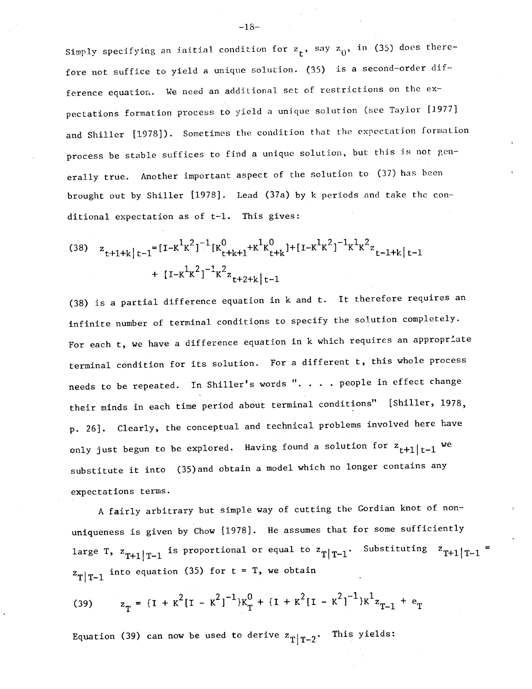Simply specifying an initial condition for  $z_t$ , say  $z_0$ , in (35) does therefore not suffice to yield a unique solution. (35) is a second-order difference equation. We need an additional set cf restrictions on the expectations formation process to yield a unique solution (see Taylor [1977] and Shiller [1978]). Sometimes the condition that the expectation formation process be stable suffices to find a unique solution, but this is not generally true. Another important aspect of the solution to (37) has been brought out by Shiller [1978]. Lead (37a) by k periods and take the conditional expectation as of t-1. This gives:

(38) 
$$
z_{t+1+k|t-1} = [I - K^1 K^2]^{-1} [K_{t+k+1}^0 + K^1 K_{t+k}^0] + [I - K^1 K^2]^{-1} K^1 K^2 z_{t-1+k|t-1}
$$
  
  $+ [I - K^1 K^2]^{-1} K^2 z_{t+2+k|t-1}$ 

(38) is a partial difference equation in k and t. It therefore requires an infinite number of terminal conditions to specify the solution completely. For each t, we have a difference equation in k which requires an appropriate terminal condition for its solution. For a different t, this whole process needs to be repeated. In Shiller's words ". . . . people in effect change their minds in each time period about terminal conditions" [Shiller, 1978, p. 26]. Clearly, the conceptual and technical problems involved here have only just begun to be explored. Having found a solution for  $z_{t+1|t-1}$  we substitute it into (35)and obtain a model which no longer contains any expectations terms.

A fairly arbitrary but simple way of cutting the Gordian knot of non uniqueness is given by Chow [1978]. He assumes that for some sufficiently large T,  $z_{T+1}|_{T-1}$  is proportional or equal to  $z_{T}|_{T-1}$ . Substituting  $z_{T+1}|_{T-1} =$  $T|T-1$ into equation (35) for t = T, we obtain

(39) 
$$
z_T = \{I + K^2[I - K^2]^{-1}\}K_T^0 + \{I + K^2[I - K^2]^{-1}\}K_{T-1}^1 + e_T
$$

Equation (39) can now be used to derive  $z_{T|T-2}$ . This yields: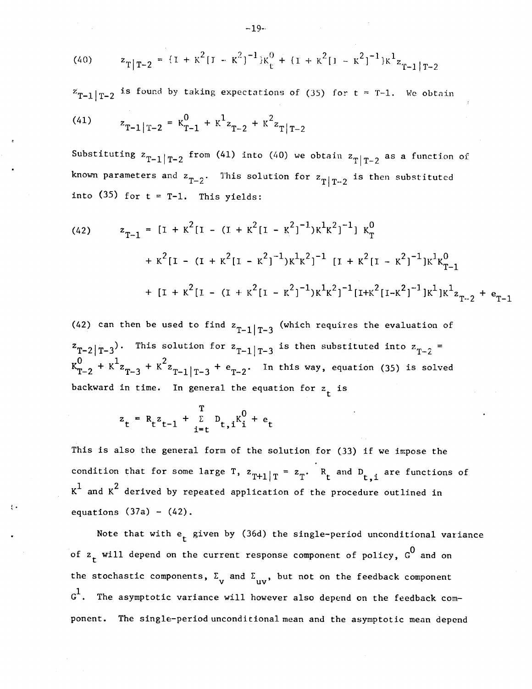(40) 
$$
z_{T|T-2} = \{I + K^2[I - K^2]^{-1}\}K_t^0 + \{I + K^2[I - K^2]^{-1}\}K_{T-1}^1|_{T-2}
$$

 $z_{T-1}|_{T-2}$  is found by taking expectations of (35) for t = T-1. We obtain (41)  $z_{T-1}|_{T-2} = K_{T-1}^0 + K_{Z_{T-2}}^1 + K_{Z_{T-2}}^2$ 

Substituting  $z_{T-1}|_{T-2}$  from (41) into (40) we obtain  $z_{T}|_{T-2}$  as a function of known parameters and  $z_{T-2}$ . This solution for  $z_{T|T-2}$  is then substituted into  $(35)$  for  $t = T-1$ . This yields:

(42) 
$$
z_{T-1} = [I + K^{2}[I - (I + K^{2}[I - K^{2}]^{-1})K^{1}K^{2}]^{-1}] K_{T}^{0}
$$

$$
+ K^{2}[I - (I + K^{2}[I - K^{2}]^{-1})K^{1}K^{2}]^{-1}[I + K^{2}[I - K^{2}]^{-1}]K^{1}K_{T-1}^{0}
$$

$$
+ [I + K^{2}[I - (I + K^{2}[I - K^{2}]^{-1})K^{1}K^{2}]^{-1}[I + K^{2}[I - K^{2}]^{-1}]K^{1}K^{1}z_{T-2} + e_{T-1}
$$

(42) can then be used to find  $z_{T-1}|_{T-3}$  (which requires the evaluation of  $z_{T-2|T-3}$ . This solution for  $z_{T-1|T-3}$  is then substituted into  $z_{T-2}$  = +  $K^2 z_{T-3}$  +  $K^2 z_{T-1}|_{T-3}$  +  $e_{T-2}$ . In this way, equation (35) is solved backward in time. In general the equation for  $z_t$  is

$$
z_t = R_t z_{t-1} + \sum_{i=t}^{T} D_{t,i} K_i^0 + e_t
$$

This is also the general form of the solution for (33) if we impose the condition that for some large T,  $z_{m+1}$ , =  $z_{T+1|T}$  =  $z_T$ . R<sub>t</sub> and D<sub>t,i</sub> are functions of  $K^1$  and  $K^2$  derived by repeated application of the procedure outlined in equations  $(37a) - (42)$ .

Note that with  $e_t$  given by (36d) the single-period unconditional variance of  $z_t$  will depend on the current response component of policy,  $G^0$  and on the stochastic components,  $\Sigma_{\rm v}$  and  $\Sigma_{\rm inv}$ , but not on the feedback component  $G^1$ . The asymptotic variance will however also depend on the feedback component. The single—period unconditional mean and the asymptotic mean depend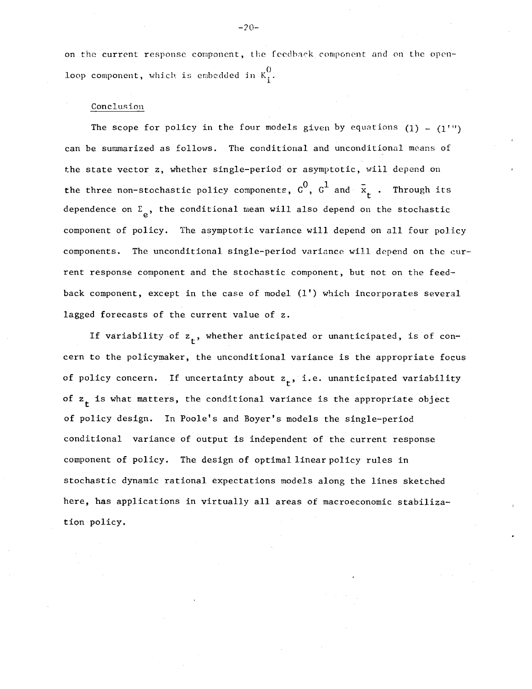on the current response component, the feedback component and on the openloop component, which is embedded in  $K_i^0$ .

### Conclusion

The scope for policy in the four models given by equations  $(1) - (1'$ ") can be summarized as follows. The conditional and unconditional means of the state vector z, whether single—period or asymptotic, will depend on the three non-stochastic policy components,  $c^0$ ,  $c^1$  and  $\bar{x}_t$  . Through its dependence on  $\Sigma_{\alpha}$ , the conditional mean will also depend on the stochastic component of policy. The asymptotic variance will depend on all four policy components. The unconditional single—period variance will depend on the current response component and the stochastic component, but not on the feed back component, except in the case of model (1') which incorporates several lagged forecasts of the current value of z.

If variability of  $z_{+}$ , whether anticipated or unanticipated, is of concern to the policymaker, the unconditional variance is the appropriate focus of policy concern. If uncertainty about  $z_{+}$ , i.e. unanticipated variability of  $z_{+}$  is what matters, the conditional variance is the appropriate object of policy design. In Poole's and Boyer's models the single—period conditional variance of output is independent of the current response component of policy. The design of optimal linear policy rules in stochastic dynamic rational expectations models along the lines sketched here, has applications in virtually all areas of macroeconomic stabiliza tipn policy.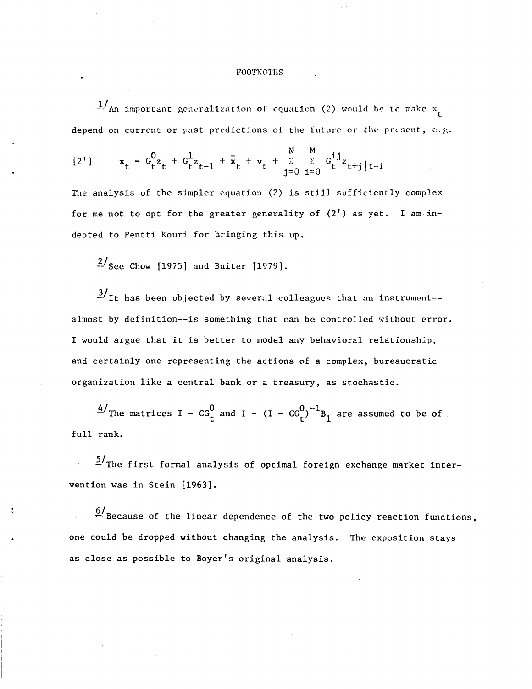### FOOTNOTES

 $\frac{1}{4}$ An important generalization of equation (2) would be to make  $x_{t}$ depend on current or past predictions of the future or the present, e.g.

$$
[2'] \qquad x_t = G_{t}^0 z_t + G_{t}^1 z_{t-1} + \bar{x}_t + v_t + \sum_{j=0}^{N} \sum_{i=0}^{M} G_{t}^{ij} z_{t+j} |t-i
$$

The analysis of the simpler equation (2) is still sufficiently complex for me not to opt for the greater generality of  $(2')$  as yet. I am indebted to Pentti Kouri for bringing this up,

 $\frac{2}{\text{See}}$  Chow [1975] and Buiter [1979].

 $\frac{3}{1}$ It has been objected by several colleagues that an instrument-almost by definition——is something that can be controlled without error. I would argue that it is better to model any behavioral relationship, and certainly one representing the actions of a complex, bureaucratic organization like a central bank or a treasury, as stochastic.

 $\frac{4}{\pi}$  The matrices I – CG<sub>t</sub> and I – (I – CG<sub>t</sub>)<sup>-1</sup>B<sub>1</sub> are assumed to be of full rank.

 $5/$ The first formal analysis of optimal foreign exchange market intervention was in Stein [1963].

 $\frac{6}{1}$  Because of the linear dependence of the two policy reaction functions, one could be dropped without changing the analysis. The exposition stays as close as possible to Boyer's original analysis.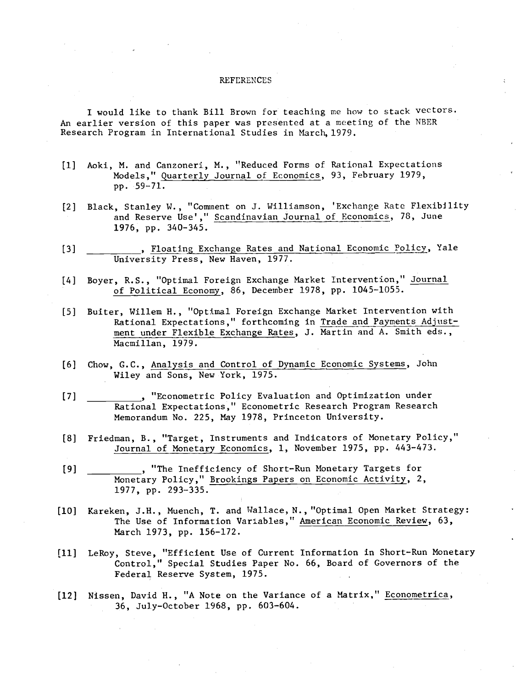#### **REFERENCES**

I would like to thank Bill Brown for teaching me how to stack vectors. An earlier version of this paper was presented at a meeting of the NBER Research Program in International Studies in March, 1979.

- [1] Aoki, M. and Canzoneri, M., I!Reduced Forms of Rational Expectations Models," Quarterly Journal of Economics, 93, February 1979, pp. 59—71.
- [2] Black, Stanley W., "Comment on J. Williamson, 'Exchange Rate Flexibility and Reserve Use'," Scandinavian Journal of Economics, 78, June 1976, pp. 340—345.
- [3] \_\_\_\_\_\_\_\_, Floating Exchange Rates and National Economic Policy, Yale University Press, New Haven, 1977.
- [4] Boyer, R.S., "Optimal Foreign Exchange Market Intervention," Journal of Political Economy, 86, December 1978, pp. 1045—1055.
- [5] Buiter, Willem H., "Optimal Foreign Exchange Market Intervention with Rational Expectations," forthcoming in Trade and Payments Adjustment under Flexible Exchange Rates, J. Martin and A. Smith eds., Macmillan, 1979.
- [6] Chow, G.C., Analysis and Control of Dynamic Economic Systems, John Wiley and Sons, New York, 1975.
- [7] The Commetric Policy Evaluation and Optimization under Rational Expectations," Econometric Research Program Research Memorandum No. 225, May 1978, Princeton University.
- [8] Friedman, B., "Target, Instruments and Indicators of Monetary Policy," Journal of Monetay Economics, 1, November 1975, pp. 443—473.
- [9] \_\_\_\_\_\_\_\_\_\_, "The Inefficiency of Short—Run Monetary Targets for Monetary Policy," Brookings Papers on Economic Activity, 2, 1977, pp. 293—335.
- [101 Kareken, J.H., Muench, T. and Wallace, N., "Optimal Open Market Strategy: The Use of Information Variables," American Economic Review, 63, March 1973, pp. 156—172.
- [11] LeRoy, Steve, "Efficient Use of Current Information in Short—Run Monetary Control," Special Studies Paper No. 66, Board of Governors of the Federal Reserve System, 1975.
- [12] Nissen, David H., "A Note on the Variance of a Matrix," Econometrica, 36, Ju].y—October 1968, pp. 603—604.